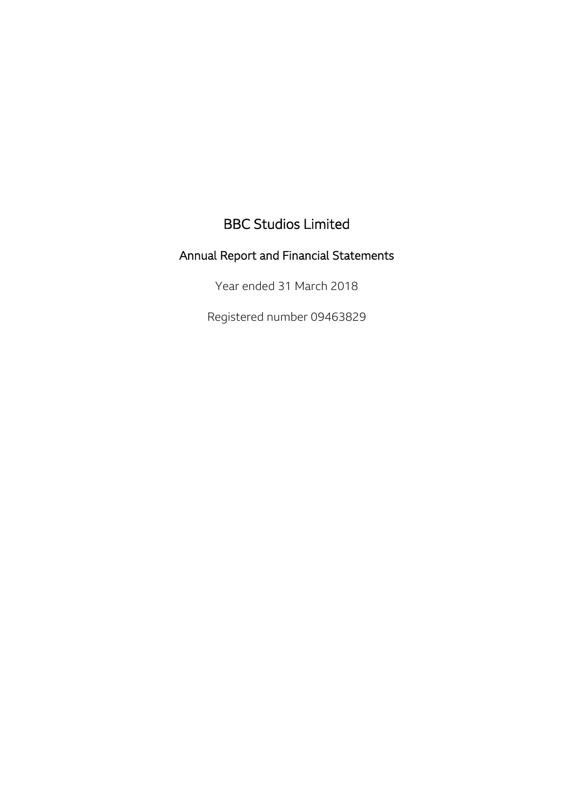# BBC Studios Limited

# Annual Report and Financial Statements

Year ended 31 March 2018

Registered number 09463829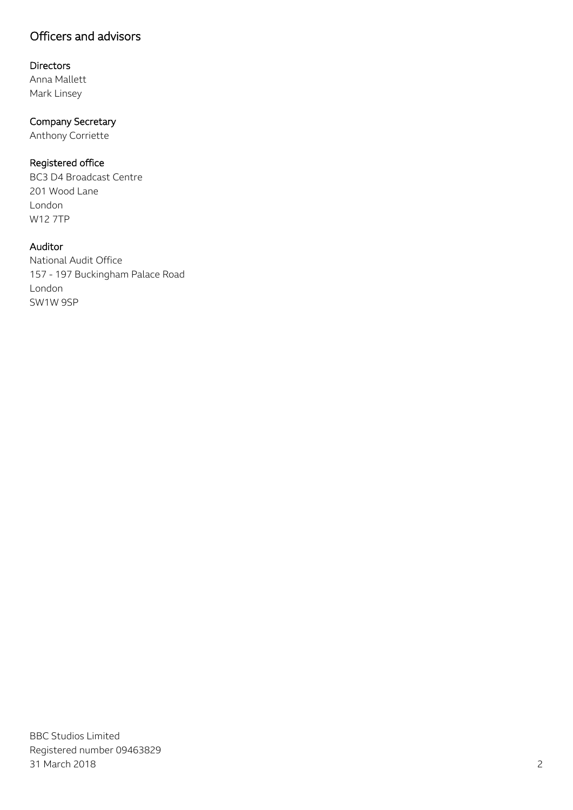## Officers and advisors

#### **Directors**

Anna Mallett Mark Linsey

### Company Secretary

Anthony Corriette

#### Registered office

BC3 D4 Broadcast Centre 201 Wood Lane London W12 7TP

#### Auditor

National Audit Office 157 - 197 Buckingham Palace Road SW1W 9SP London

Registered number 09463829 BBC Studios Limited 31 March 2018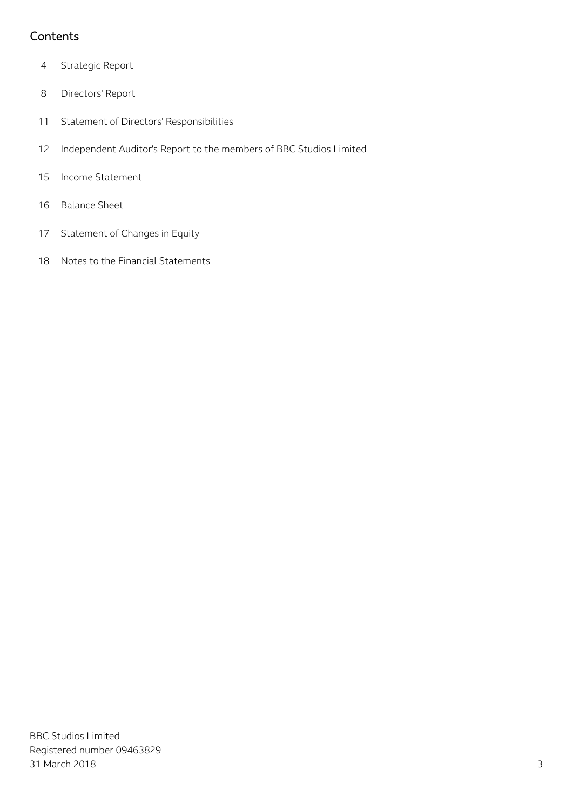### **Contents**

- 4 Strategic Report
- 8 Directors' Report
- 11 Statement of Directors' Responsibilities
- 12 Independent Auditor's Report to the members of BBC Studios Limited
- 15 Income Statement
- 16 Balance Sheet
- 17 Statement of Changes in Equity
- 18 Notes to the Financial Statements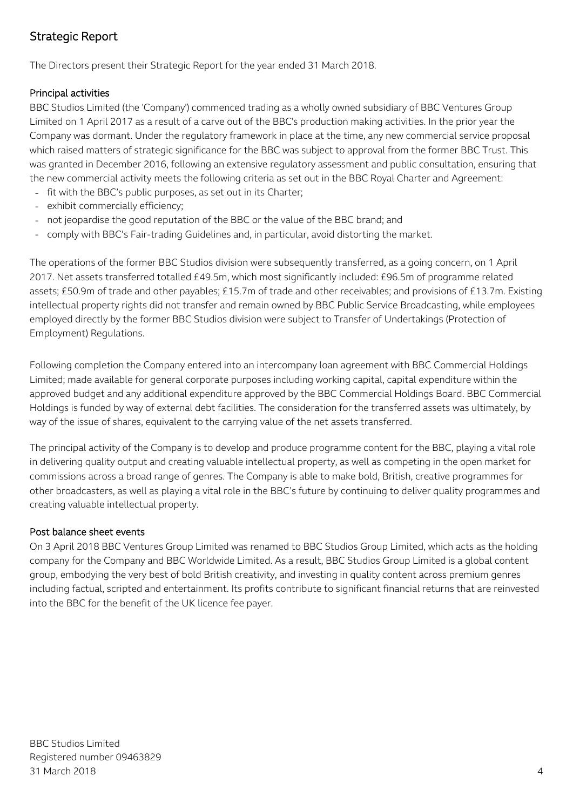## Strategic Report

The Directors present their Strategic Report for the year ended 31 March 2018.

### Principal activities

BBC Studios Limited (the 'Company') commenced trading as a wholly owned subsidiary of BBC Ventures Group Limited on 1 April 2017 as a result of a carve out of the BBC's production making activities. In the prior year the Company was dormant. Under the regulatory framework in place at the time, any new commercial service proposal which raised matters of strategic significance for the BBC was subject to approval from the former BBC Trust. This was granted in December 2016, following an extensive regulatory assessment and public consultation, ensuring that the new commercial activity meets the following criteria as set out in the BBC Royal Charter and Agreement:

- fit with the BBC's public purposes, as set out in its Charter;
- exhibit commercially efficiency;
- not jeopardise the good reputation of the BBC or the value of the BBC brand; and
- comply with BBC's Fair-trading Guidelines and, in particular, avoid distorting the market.

The operations of the former BBC Studios division were subsequently transferred, as a going concern, on 1 April 2017. Net assets transferred totalled £49.5m, which most significantly included: £96.5m of programme related assets; £50.9m of trade and other payables; £15.7m of trade and other receivables; and provisions of £13.7m. Existing intellectual property rights did not transfer and remain owned by BBC Public Service Broadcasting, while employees employed directly by the former BBC Studios division were subject to Transfer of Undertakings (Protection of Employment) Regulations.

Following completion the Company entered into an intercompany loan agreement with BBC Commercial Holdings Limited; made available for general corporate purposes including working capital, capital expenditure within the approved budget and any additional expenditure approved by the BBC Commercial Holdings Board. BBC Commercial Holdings is funded by way of external debt facilities. The consideration for the transferred assets was ultimately, by way of the issue of shares, equivalent to the carrying value of the net assets transferred.

The principal activity of the Company is to develop and produce programme content for the BBC, playing a vital role in delivering quality output and creating valuable intellectual property, as well as competing in the open market for commissions across a broad range of genres. The Company is able to make bold, British, creative programmes for other broadcasters, as well as playing a vital role in the BBC's future by continuing to deliver quality programmes and creating valuable intellectual property.

#### Post balance sheet events

On 3 April 2018 BBC Ventures Group Limited was renamed to BBC Studios Group Limited, which acts as the holding company for the Company and BBC Worldwide Limited. As a result, BBC Studios Group Limited is a global content group, embodying the very best of bold British creativity, and investing in quality content across premium genres including factual, scripted and entertainment. Its profits contribute to significant financial returns that are reinvested into the BBC for the benefit of the UK licence fee payer.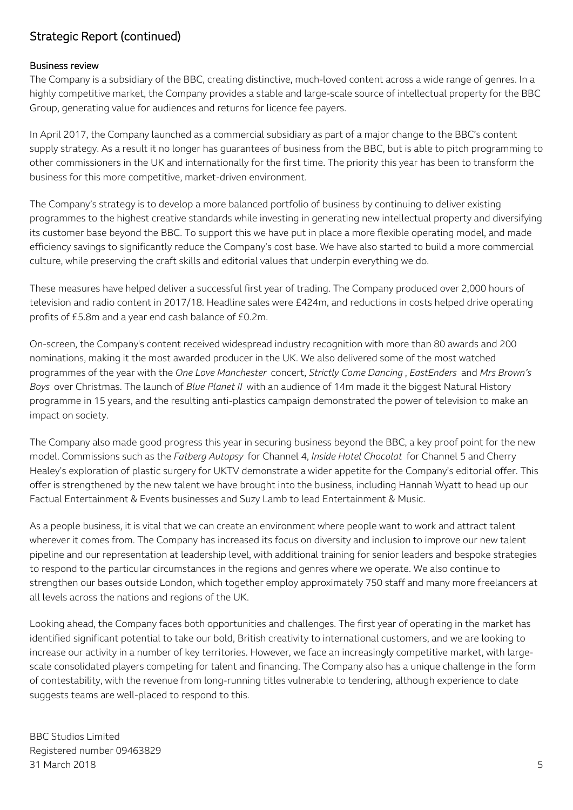### Strategic Report (continued)

#### Business review

The Company is a subsidiary of the BBC, creating distinctive, much-loved content across a wide range of genres. In a highly competitive market, the Company provides a stable and large-scale source of intellectual property for the BBC Group, generating value for audiences and returns for licence fee payers.

In April 2017, the Company launched as a commercial subsidiary as part of a major change to the BBC's content supply strategy. As a result it no longer has guarantees of business from the BBC, but is able to pitch programming to other commissioners in the UK and internationally for the first time. The priority this year has been to transform the business for this more competitive, market-driven environment.

The Company's strategy is to develop a more balanced portfolio of business by continuing to deliver existing programmes to the highest creative standards while investing in generating new intellectual property and diversifying its customer base beyond the BBC. To support this we have put in place a more flexible operating model, and made efficiency savings to significantly reduce the Company's cost base. We have also started to build a more commercial culture, while preserving the craft skills and editorial values that underpin everything we do.

These measures have helped deliver a successful first year of trading. The Company produced over 2,000 hours of television and radio content in 2017/18. Headline sales were £424m, and reductions in costs helped drive operating profits of £5.8m and a year end cash balance of £0.2m.

On-screen, the Company's content received widespread industry recognition with more than 80 awards and 200 nominations, making it the most awarded producer in the UK. We also delivered some of the most watched programmes of the year with the *One Love Manchester* concert, *Strictly Come Dancing* , *EastEnders* and *Mrs Brown's Boys* over Christmas. The launch of *Blue Planet II* with an audience of 14m made it the biggest Natural History programme in 15 years, and the resulting anti-plastics campaign demonstrated the power of television to make an impact on society.

The Company also made good progress this year in securing business beyond the BBC, a key proof point for the new model. Commissions such as the *Fatberg Autopsy* for Channel 4, *Inside Hotel Chocolat* for Channel 5 and Cherry Healey's exploration of plastic surgery for UKTV demonstrate a wider appetite for the Company's editorial offer. This offer is strengthened by the new talent we have brought into the business, including Hannah Wyatt to head up our Factual Entertainment & Events businesses and Suzy Lamb to lead Entertainment & Music.

As a people business, it is vital that we can create an environment where people want to work and attract talent wherever it comes from. The Company has increased its focus on diversity and inclusion to improve our new talent pipeline and our representation at leadership level, with additional training for senior leaders and bespoke strategies to respond to the particular circumstances in the regions and genres where we operate. We also continue to strengthen our bases outside London, which together employ approximately 750 staff and many more freelancers at all levels across the nations and regions of the UK.

Looking ahead, the Company faces both opportunities and challenges. The first year of operating in the market has identified significant potential to take our bold, British creativity to international customers, and we are looking to increase our activity in a number of key territories. However, we face an increasingly competitive market, with largescale consolidated players competing for talent and financing. The Company also has a unique challenge in the form of contestability, with the revenue from long-running titles vulnerable to tendering, although experience to date suggests teams are well-placed to respond to this.

Registered number 09463829 BBC Studios Limited 31 March 2018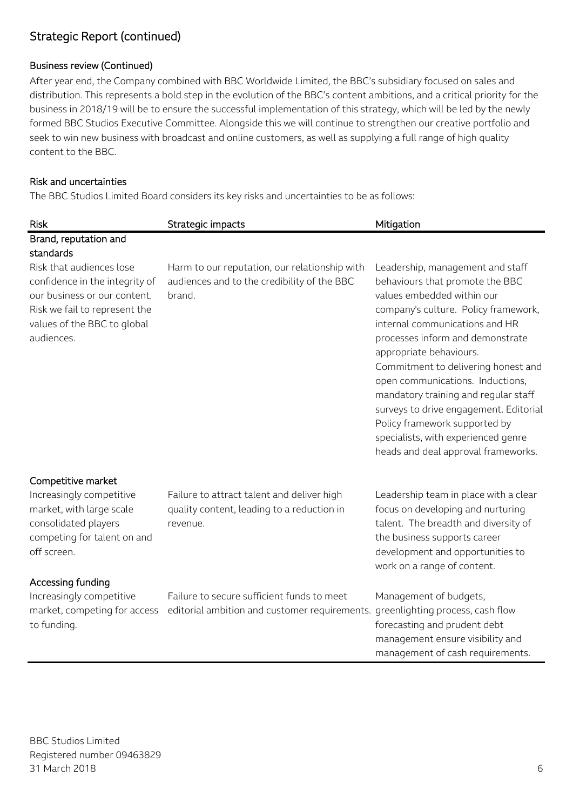### Strategic Report (continued)

#### Business review (Continued)

After year end, the Company combined with BBC Worldwide Limited, the BBC's subsidiary focused on sales and distribution. This represents a bold step in the evolution of the BBC's content ambitions, and a critical priority for the business in 2018/19 will be to ensure the successful implementation of this strategy, which will be led by the newly formed BBC Studios Executive Committee. Alongside this we will continue to strengthen our creative portfolio and seek to win new business with broadcast and online customers, as well as supplying a full range of high quality content to the BBC.

#### Risk and uncertainties

The BBC Studios Limited Board considers its key risks and uncertainties to be as follows:

| <b>Risk</b>                                                                                                                                                              | Strategic impacts                                                                                                            | Mitigation                                                                                                                                                                                                                                                                                                                                                                                                                                                                                                             |
|--------------------------------------------------------------------------------------------------------------------------------------------------------------------------|------------------------------------------------------------------------------------------------------------------------------|------------------------------------------------------------------------------------------------------------------------------------------------------------------------------------------------------------------------------------------------------------------------------------------------------------------------------------------------------------------------------------------------------------------------------------------------------------------------------------------------------------------------|
| Brand, reputation and<br>standards                                                                                                                                       |                                                                                                                              |                                                                                                                                                                                                                                                                                                                                                                                                                                                                                                                        |
| Risk that audiences lose<br>confidence in the integrity of<br>our business or our content.<br>Risk we fail to represent the<br>values of the BBC to global<br>audiences. | Harm to our reputation, our relationship with<br>audiences and to the credibility of the BBC<br>brand.                       | Leadership, management and staff<br>behaviours that promote the BBC<br>values embedded within our<br>company's culture. Policy framework,<br>internal communications and HR<br>processes inform and demonstrate<br>appropriate behaviours.<br>Commitment to delivering honest and<br>open communications. Inductions,<br>mandatory training and regular staff<br>surveys to drive engagement. Editorial<br>Policy framework supported by<br>specialists, with experienced genre<br>heads and deal approval frameworks. |
| Competitive market                                                                                                                                                       |                                                                                                                              |                                                                                                                                                                                                                                                                                                                                                                                                                                                                                                                        |
| Increasingly competitive<br>market, with large scale<br>consolidated players<br>competing for talent on and<br>off screen.                                               | Failure to attract talent and deliver high<br>quality content, leading to a reduction in<br>revenue.                         | Leadership team in place with a clear<br>focus on developing and nurturing<br>talent. The breadth and diversity of<br>the business supports career<br>development and opportunities to<br>work on a range of content.                                                                                                                                                                                                                                                                                                  |
| Accessing funding<br>Increasingly competitive<br>market, competing for access<br>to funding.                                                                             | Failure to secure sufficient funds to meet<br>editorial ambition and customer requirements. greenlighting process, cash flow | Management of budgets,<br>forecasting and prudent debt<br>management ensure visibility and<br>management of cash requirements.                                                                                                                                                                                                                                                                                                                                                                                         |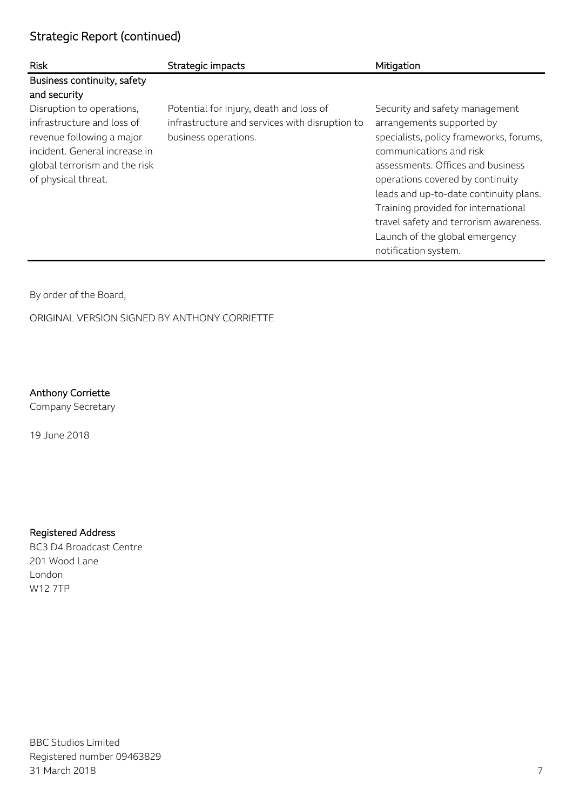### Strategic Report (continued)

| <b>Risk</b>                   | Strategic impacts                              | Mitigation                              |
|-------------------------------|------------------------------------------------|-----------------------------------------|
| Business continuity, safety   |                                                |                                         |
| and security                  |                                                |                                         |
| Disruption to operations,     | Potential for injury, death and loss of        | Security and safety management          |
| infrastructure and loss of    | infrastructure and services with disruption to | arrangements supported by               |
| revenue following a major     | business operations.                           | specialists, policy frameworks, forums, |
| incident. General increase in |                                                | communications and risk                 |
| global terrorism and the risk |                                                | assessments. Offices and business       |
| of physical threat.           |                                                | operations covered by continuity        |
|                               |                                                | leads and up-to-date continuity plans.  |
|                               |                                                | Training provided for international     |
|                               |                                                | travel safety and terrorism awareness.  |
|                               |                                                | Launch of the global emergency          |
|                               |                                                | notification system.                    |

By order of the Board,

ORIGINAL VERSION SIGNED BY ANTHONY CORRIETTE

### Anthony Corriette

Company Secretary

19 June 2018

#### Registered Address

BC3 D4 Broadcast Centre 201 Wood Lane London W12 7TP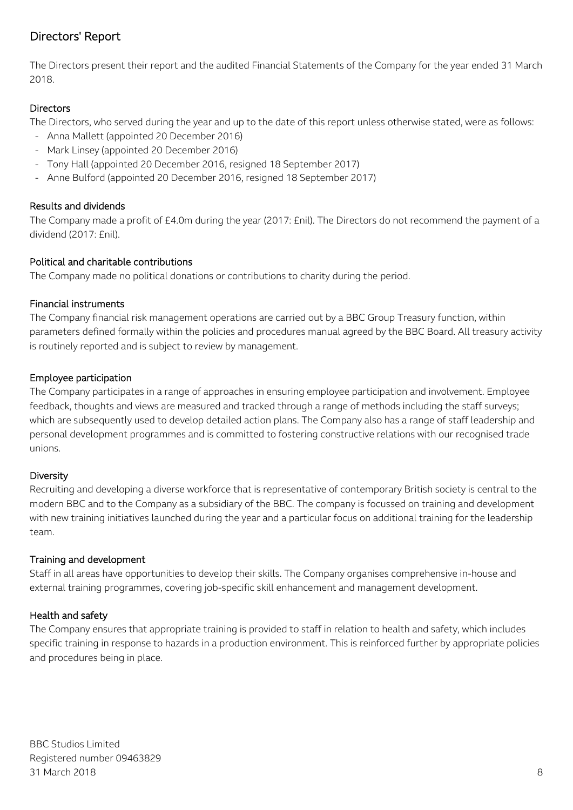### Directors' Report

The Directors present their report and the audited Financial Statements of the Company for the year ended 31 March 2018.

#### **Directors**

The Directors, who served during the year and up to the date of this report unless otherwise stated, were as follows:

- Anna Mallett (appointed 20 December 2016)
- Mark Linsey (appointed 20 December 2016)
- Tony Hall (appointed 20 December 2016, resigned 18 September 2017)
- Anne Bulford (appointed 20 December 2016, resigned 18 September 2017)

#### Results and dividends

The Company made a profit of £4.0m during the year (2017: £nil). The Directors do not recommend the payment of a dividend (2017: £nil).

#### Political and charitable contributions

The Company made no political donations or contributions to charity during the period.

#### Financial instruments

The Company financial risk management operations are carried out by a BBC Group Treasury function, within parameters defined formally within the policies and procedures manual agreed by the BBC Board. All treasury activity is routinely reported and is subject to review by management.

#### Employee participation

The Company participates in a range of approaches in ensuring employee participation and involvement. Employee feedback, thoughts and views are measured and tracked through a range of methods including the staff surveys; which are subsequently used to develop detailed action plans. The Company also has a range of staff leadership and personal development programmes and is committed to fostering constructive relations with our recognised trade unions.

#### Diversity

Recruiting and developing a diverse workforce that is representative of contemporary British society is central to the modern BBC and to the Company as a subsidiary of the BBC. The company is focussed on training and development with new training initiatives launched during the year and a particular focus on additional training for the leadership team.

#### Training and development

Staff in all areas have opportunities to develop their skills. The Company organises comprehensive in-house and external training programmes, covering job-specific skill enhancement and management development.

#### Health and safety

The Company ensures that appropriate training is provided to staff in relation to health and safety, which includes specific training in response to hazards in a production environment. This is reinforced further by appropriate policies and procedures being in place.

BBC Studios Limited Registered number 09463829 31 March 2018 8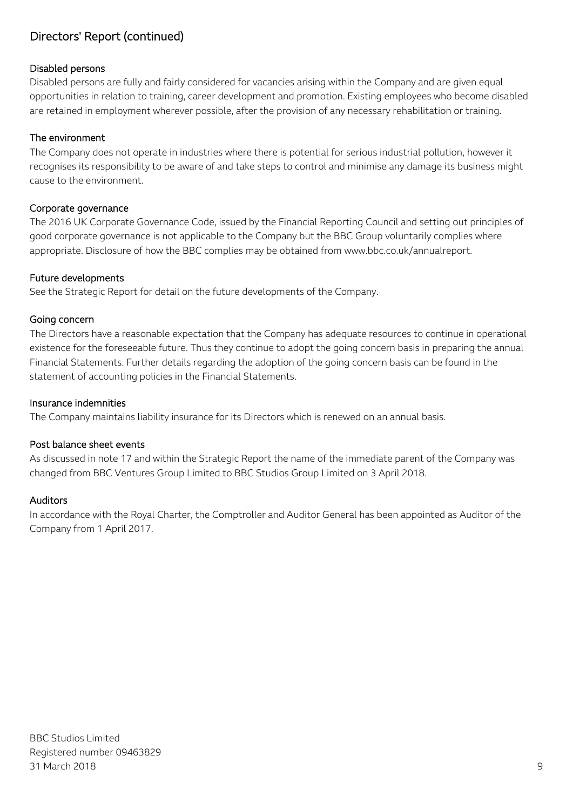### Directors' Report (continued)

#### Disabled persons

Disabled persons are fully and fairly considered for vacancies arising within the Company and are given equal opportunities in relation to training, career development and promotion. Existing employees who become disabled are retained in employment wherever possible, after the provision of any necessary rehabilitation or training.

#### The environment

The Company does not operate in industries where there is potential for serious industrial pollution, however it recognises its responsibility to be aware of and take steps to control and minimise any damage its business might cause to the environment.

#### Corporate governance

The 2016 UK Corporate Governance Code, issued by the Financial Reporting Council and setting out principles of good corporate governance is not applicable to the Company but the BBC Group voluntarily complies where appropriate. Disclosure of how the BBC complies may be obtained from www.bbc.co.uk/annualreport.

#### Future developments

See the Strategic Report for detail on the future developments of the Company.

#### Going concern

The Directors have a reasonable expectation that the Company has adequate resources to continue in operational existence for the foreseeable future. Thus they continue to adopt the going concern basis in preparing the annual Financial Statements. Further details regarding the adoption of the going concern basis can be found in the statement of accounting policies in the Financial Statements.

#### Insurance indemnities

The Company maintains liability insurance for its Directors which is renewed on an annual basis.

#### Post balance sheet events

As discussed in note 17 and within the Strategic Report the name of the immediate parent of the Company was changed from BBC Ventures Group Limited to BBC Studios Group Limited on 3 April 2018.

#### Auditors

In accordance with the Royal Charter, the Comptroller and Auditor General has been appointed as Auditor of the Company from 1 April 2017.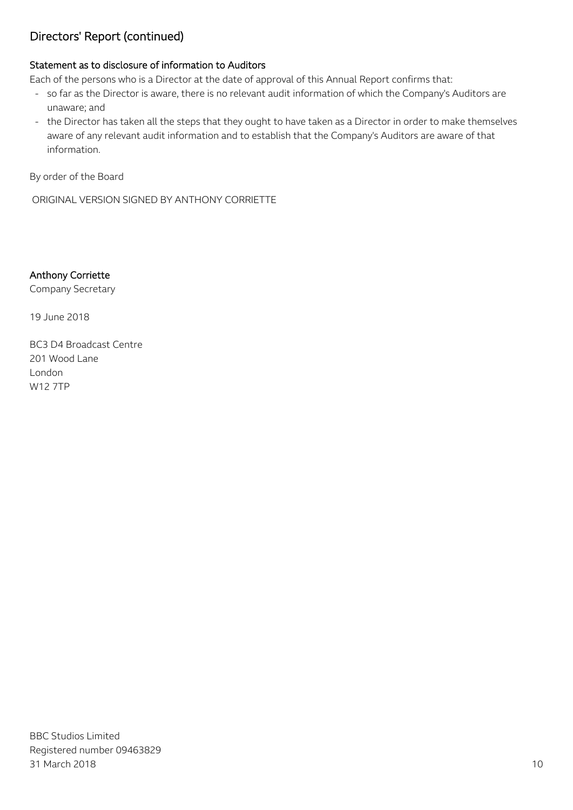### Directors' Report (continued)

### Statement as to disclosure of information to Auditors

Each of the persons who is a Director at the date of approval of this Annual Report confirms that:

- so far as the Director is aware, there is no relevant audit information of which the Company's Auditors are unaware; and
- the Director has taken all the steps that they ought to have taken as a Director in order to make themselves aware of any relevant audit information and to establish that the Company's Auditors are aware of that information.

By order of the Board

ORIGINAL VERSION SIGNED BY ANTHONY CORRIETTE

Anthony Corriette Company Secretary

19 June 2018

BC3 D4 Broadcast Centre 201 Wood Lane London W12 7TP

Registered number 09463829 31 March 2018 10 BBC Studios Limited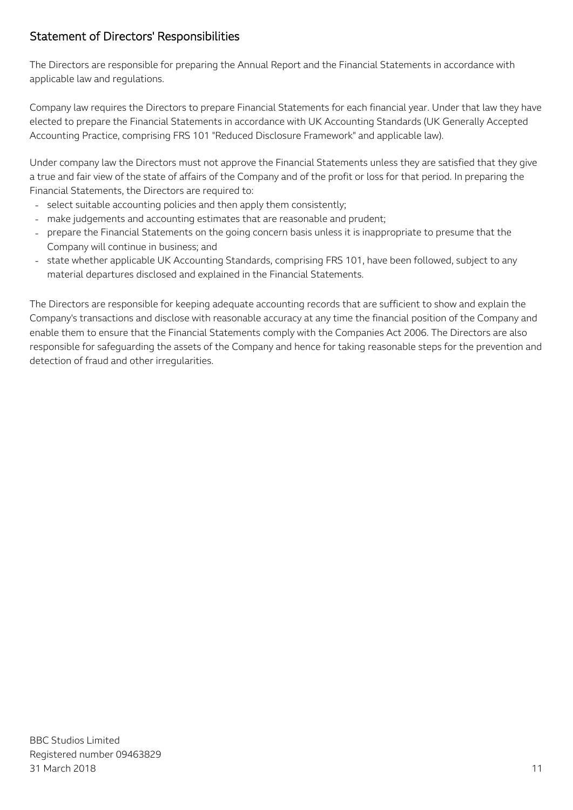### Statement of Directors' Responsibilities

The Directors are responsible for preparing the Annual Report and the Financial Statements in accordance with applicable law and regulations.

Company law requires the Directors to prepare Financial Statements for each financial year. Under that law they have elected to prepare the Financial Statements in accordance with UK Accounting Standards (UK Generally Accepted Accounting Practice, comprising FRS 101 "Reduced Disclosure Framework" and applicable law).

Under company law the Directors must not approve the Financial Statements unless they are satisfied that they give a true and fair view of the state of affairs of the Company and of the profit or loss for that period. In preparing the Financial Statements, the Directors are required to:

- select suitable accounting policies and then apply them consistently;
- make judgements and accounting estimates that are reasonable and prudent;
- prepare the Financial Statements on the going concern basis unless it is inappropriate to presume that the Company will continue in business; and
- state whether applicable UK Accounting Standards, comprising FRS 101, have been followed, subject to any material departures disclosed and explained in the Financial Statements.

The Directors are responsible for keeping adequate accounting records that are sufficient to show and explain the Company's transactions and disclose with reasonable accuracy at any time the financial position of the Company and enable them to ensure that the Financial Statements comply with the Companies Act 2006. The Directors are also responsible for safeguarding the assets of the Company and hence for taking reasonable steps for the prevention and detection of fraud and other irregularities.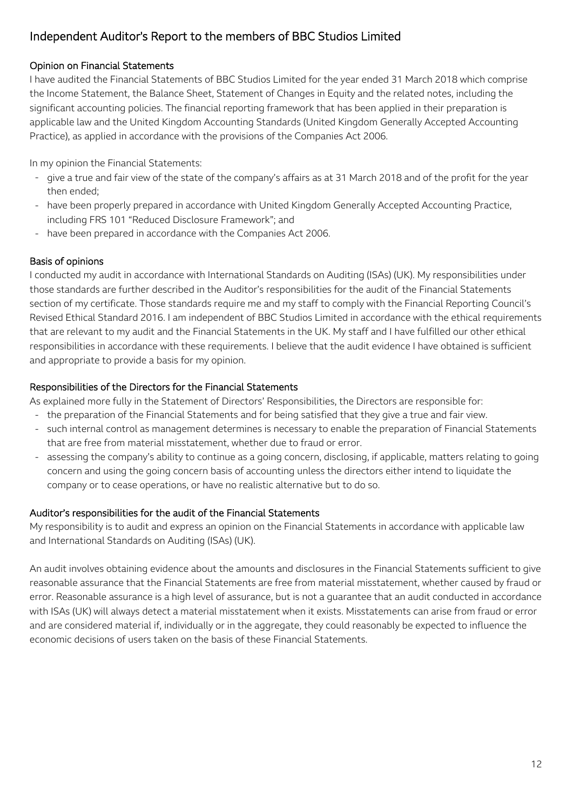### Independent Auditor's Report to the members of BBC Studios Limited

#### Opinion on Financial Statements

I have audited the Financial Statements of BBC Studios Limited for the year ended 31 March 2018 which comprise the Income Statement, the Balance Sheet, Statement of Changes in Equity and the related notes, including the significant accounting policies. The financial reporting framework that has been applied in their preparation is applicable law and the United Kingdom Accounting Standards (United Kingdom Generally Accepted Accounting Practice), as applied in accordance with the provisions of the Companies Act 2006.

In my opinion the Financial Statements:

- give a true and fair view of the state of the company's affairs as at 31 March 2018 and of the profit for the year then ended;
- have been properly prepared in accordance with United Kingdom Generally Accepted Accounting Practice, including FRS 101 "Reduced Disclosure Framework"; and
- have been prepared in accordance with the Companies Act 2006.

#### Basis of opinions

I conducted my audit in accordance with International Standards on Auditing (ISAs) (UK). My responsibilities under those standards are further described in the Auditor's responsibilities for the audit of the Financial Statements section of my certificate. Those standards require me and my staff to comply with the Financial Reporting Council's Revised Ethical Standard 2016. I am independent of BBC Studios Limited in accordance with the ethical requirements that are relevant to my audit and the Financial Statements in the UK. My staff and I have fulfilled our other ethical responsibilities in accordance with these requirements. I believe that the audit evidence I have obtained is sufficient and appropriate to provide a basis for my opinion.

#### Responsibilities of the Directors for the Financial Statements

As explained more fully in the Statement of Directors' Responsibilities, the Directors are responsible for:

- the preparation of the Financial Statements and for being satisfied that they give a true and fair view.
- such internal control as management determines is necessary to enable the preparation of Financial Statements that are free from material misstatement, whether due to fraud or error.
- assessing the company's ability to continue as a going concern, disclosing, if applicable, matters relating to going concern and using the going concern basis of accounting unless the directors either intend to liquidate the company or to cease operations, or have no realistic alternative but to do so.

#### Auditor's responsibilities for the audit of the Financial Statements

My responsibility is to audit and express an opinion on the Financial Statements in accordance with applicable law and International Standards on Auditing (ISAs) (UK).

An audit involves obtaining evidence about the amounts and disclosures in the Financial Statements sufficient to give reasonable assurance that the Financial Statements are free from material misstatement, whether caused by fraud or error. Reasonable assurance is a high level of assurance, but is not a guarantee that an audit conducted in accordance with ISAs (UK) will always detect a material misstatement when it exists. Misstatements can arise from fraud or error and are considered material if, individually or in the aggregate, they could reasonably be expected to influence the economic decisions of users taken on the basis of these Financial Statements.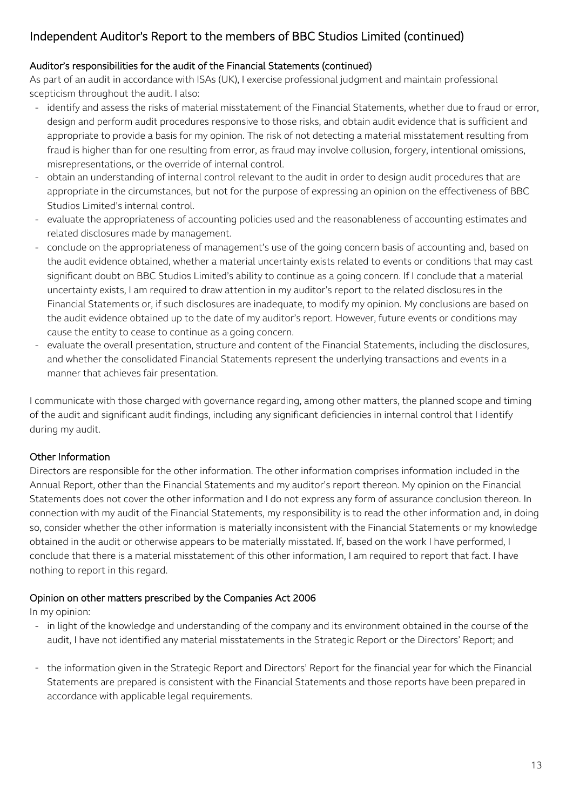### Independent Auditor's Report to the members of BBC Studios Limited (continued)

### Auditor's responsibilities for the audit of the Financial Statements (continued)

As part of an audit in accordance with ISAs (UK), I exercise professional judgment and maintain professional scepticism throughout the audit. I also:

- identify and assess the risks of material misstatement of the Financial Statements, whether due to fraud or error, design and perform audit procedures responsive to those risks, and obtain audit evidence that is sufficient and appropriate to provide a basis for my opinion. The risk of not detecting a material misstatement resulting from fraud is higher than for one resulting from error, as fraud may involve collusion, forgery, intentional omissions, misrepresentations, or the override of internal control.
- obtain an understanding of internal control relevant to the audit in order to design audit procedures that are appropriate in the circumstances, but not for the purpose of expressing an opinion on the effectiveness of BBC Studios Limited's internal control.
- evaluate the appropriateness of accounting policies used and the reasonableness of accounting estimates and related disclosures made by management.
- conclude on the appropriateness of management's use of the going concern basis of accounting and, based on the audit evidence obtained, whether a material uncertainty exists related to events or conditions that may cast significant doubt on BBC Studios Limited's ability to continue as a going concern. If I conclude that a material uncertainty exists, I am required to draw attention in my auditor's report to the related disclosures in the Financial Statements or, if such disclosures are inadequate, to modify my opinion. My conclusions are based on the audit evidence obtained up to the date of my auditor's report. However, future events or conditions may cause the entity to cease to continue as a going concern.
- evaluate the overall presentation, structure and content of the Financial Statements, including the disclosures, and whether the consolidated Financial Statements represent the underlying transactions and events in a manner that achieves fair presentation.

I communicate with those charged with governance regarding, among other matters, the planned scope and timing of the audit and significant audit findings, including any significant deficiencies in internal control that I identify during my audit.

#### Other Information

Directors are responsible for the other information. The other information comprises information included in the Annual Report, other than the Financial Statements and my auditor's report thereon. My opinion on the Financial Statements does not cover the other information and I do not express any form of assurance conclusion thereon. In connection with my audit of the Financial Statements, my responsibility is to read the other information and, in doing so, consider whether the other information is materially inconsistent with the Financial Statements or my knowledge obtained in the audit or otherwise appears to be materially misstated. If, based on the work I have performed, I conclude that there is a material misstatement of this other information, I am required to report that fact. I have nothing to report in this regard.

#### Opinion on other matters prescribed by the Companies Act 2006

In my opinion:

- in light of the knowledge and understanding of the company and its environment obtained in the course of the audit, I have not identified any material misstatements in the Strategic Report or the Directors' Report; and
- the information given in the Strategic Report and Directors' Report for the financial year for which the Financial Statements are prepared is consistent with the Financial Statements and those reports have been prepared in accordance with applicable legal requirements.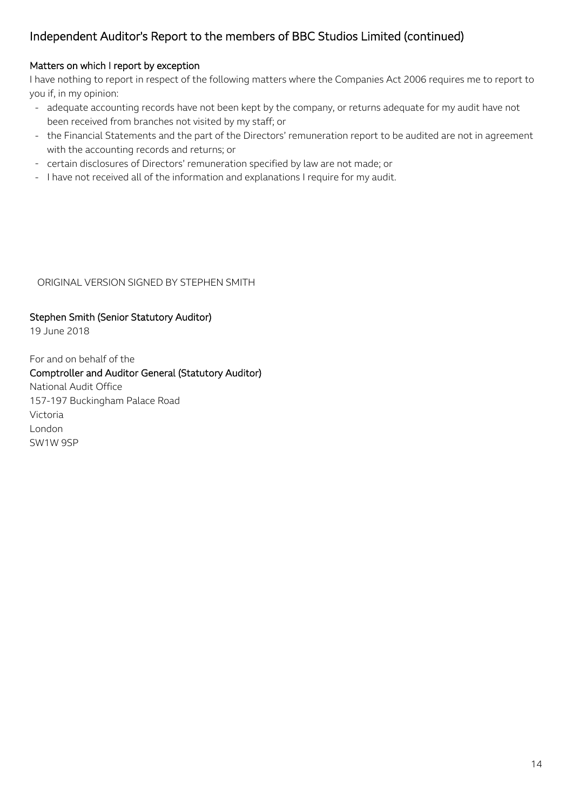### Independent Auditor's Report to the members of BBC Studios Limited (continued)

#### Matters on which I report by exception

I have nothing to report in respect of the following matters where the Companies Act 2006 requires me to report to you if, in my opinion:

- adequate accounting records have not been kept by the company, or returns adequate for my audit have not been received from branches not visited by my staff; or
- the Financial Statements and the part of the Directors' remuneration report to be audited are not in agreement with the accounting records and returns; or
- certain disclosures of Directors' remuneration specified by law are not made; or
- I have not received all of the information and explanations I require for my audit.

ORIGINAL VERSION SIGNED BY STEPHEN SMITH

#### Stephen Smith (Senior Statutory Auditor)

19 June 2018

For and on behalf of the Comptroller and Auditor General (Statutory Auditor) National Audit Office 157-197 Buckingham Palace Road Victoria London SW1W 9SP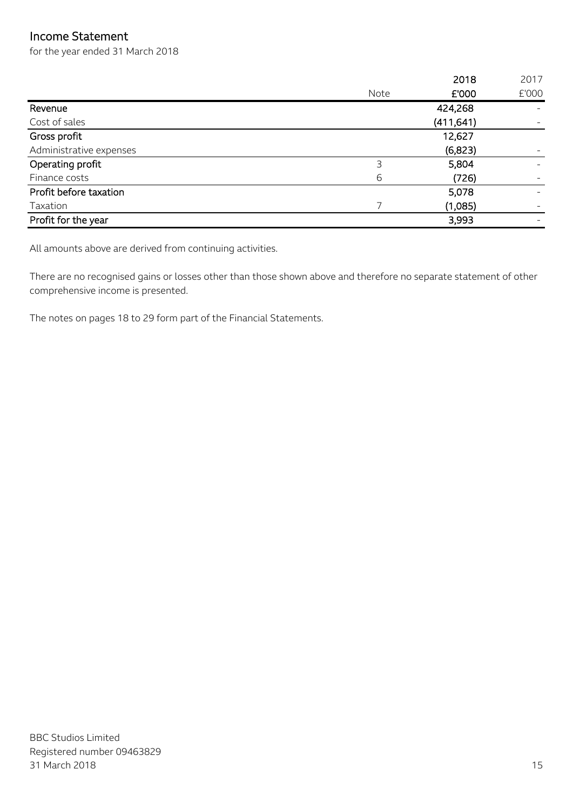### Income Statement

for the year ended 31 March 2018

|                         |      | 2018       | 2017  |
|-------------------------|------|------------|-------|
|                         | Note | £'000      | £'000 |
| Revenue                 |      | 424,268    |       |
| Cost of sales           |      | (411, 641) |       |
| Gross profit            |      | 12,627     |       |
| Administrative expenses |      | (6, 823)   |       |
| Operating profit        | 3    | 5,804      |       |
| Finance costs           | 6    | (726)      |       |
| Profit before taxation  |      | 5,078      |       |
| Taxation                |      | (1,085)    |       |
| Profit for the year     |      | 3,993      |       |
|                         |      |            |       |

All amounts above are derived from continuing activities.

There are no recognised gains or losses other than those shown above and therefore no separate statement of other comprehensive income is presented.

The notes on pages 18 to 29 form part of the Financial Statements.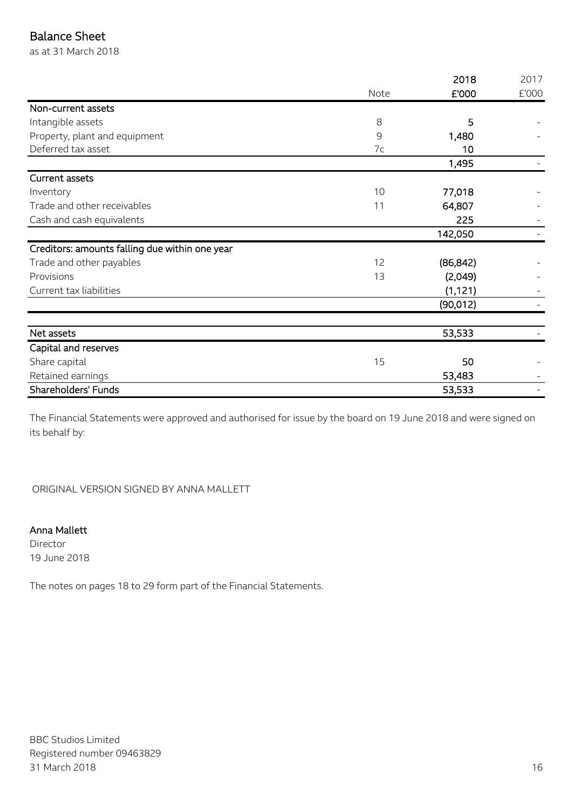### Balance Sheet

as at 31 March 2018

|                                                |      | 2018      | 2017  |
|------------------------------------------------|------|-----------|-------|
|                                                | Note | £'000     | £'000 |
| Non-current assets                             |      |           |       |
| Intangible assets                              | 8    | 5         |       |
| Property, plant and equipment                  | 9    | 1,480     |       |
| Deferred tax asset                             | 7c   | 10        |       |
|                                                |      | 1,495     |       |
| <b>Current assets</b>                          |      |           |       |
| Inventory                                      | 10   | 77,018    |       |
| Trade and other receivables                    | 11   | 64,807    |       |
| Cash and cash equivalents                      |      | 225       |       |
|                                                |      | 142,050   |       |
| Creditors: amounts falling due within one year |      |           |       |
| Trade and other payables                       | 12   | (86, 842) |       |
| Provisions                                     | 13   | (2,049)   |       |
| Current tax liabilities                        |      | (1, 121)  |       |
|                                                |      | (90, 012) |       |
|                                                |      |           |       |
| Net assets                                     |      | 53,533    |       |
| Capital and reserves                           |      |           |       |
| Share capital                                  | 15   | 50        |       |
| Retained earnings                              |      | 53,483    |       |
| <b>Shareholders' Funds</b>                     |      | 53,533    |       |

The Financial Statements were approved and authorised for issue by the board on 19 June 2018 and were signed on its behalf by:

ORIGINAL VERSION SIGNED BY ANNA MALLETT

#### Anna Mallett

19 June 2018 Director

The notes on pages 18 to 29 form part of the Financial Statements.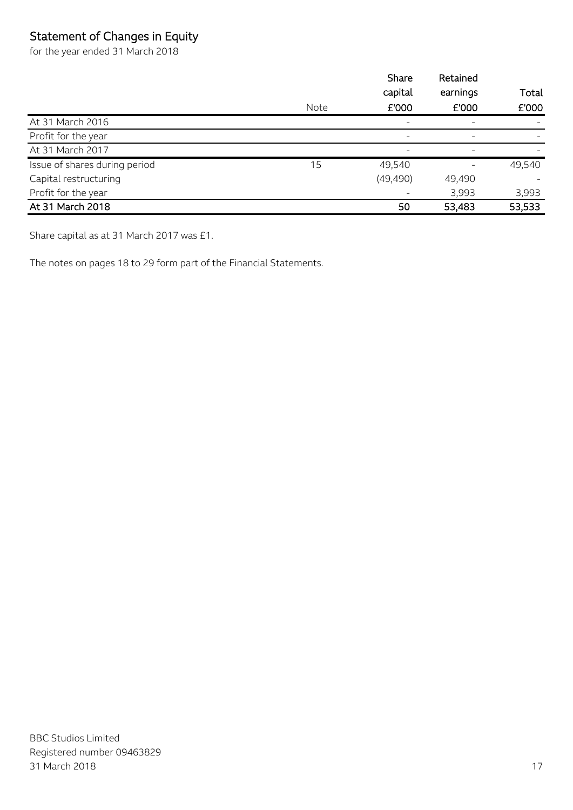### Statement of Changes in Equity

for the year ended 31 March 2018

|                               |      | Share     | Retained                 |        |
|-------------------------------|------|-----------|--------------------------|--------|
|                               |      | capital   | earnings                 | Total  |
|                               | Note | £'000     | £'000                    | £'000  |
| At 31 March 2016              |      |           | -                        |        |
| Profit for the year           |      |           |                          |        |
| At 31 March 2017              |      |           | $\overline{\phantom{0}}$ |        |
| Issue of shares during period | 15   | 49,540    | $\overline{\phantom{0}}$ | 49,540 |
| Capital restructuring         |      | (49, 490) | 49,490                   |        |
| Profit for the year           |      |           | 3,993                    | 3,993  |
| At 31 March 2018              |      | 50        | 53,483                   | 53,533 |

Share capital as at 31 March 2017 was £1.

The notes on pages 18 to 29 form part of the Financial Statements.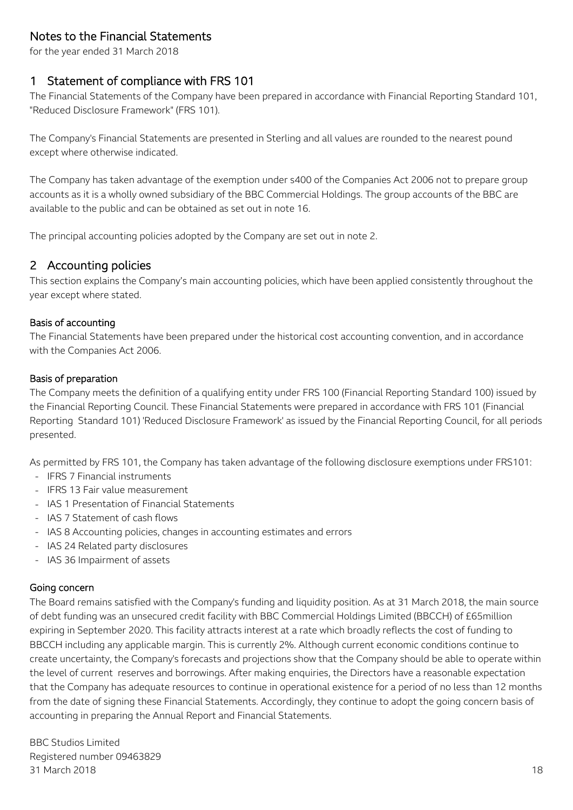### Notes to the Financial Statements

for the year ended 31 March 2018

### 1 Statement of compliance with FRS 101

The Financial Statements of the Company have been prepared in accordance with Financial Reporting Standard 101, "Reduced Disclosure Framework" (FRS 101).

The Company's Financial Statements are presented in Sterling and all values are rounded to the nearest pound except where otherwise indicated.

The Company has taken advantage of the exemption under s400 of the Companies Act 2006 not to prepare group accounts as it is a wholly owned subsidiary of the BBC Commercial Holdings. The group accounts of the BBC are available to the public and can be obtained as set out in note 16.

The principal accounting policies adopted by the Company are set out in note 2.

### 2 Accounting policies

This section explains the Company's main accounting policies, which have been applied consistently throughout the year except where stated.

#### Basis of accounting

The Financial Statements have been prepared under the historical cost accounting convention, and in accordance with the Companies Act 2006.

#### Basis of preparation

The Company meets the definition of a qualifying entity under FRS 100 (Financial Reporting Standard 100) issued by the Financial Reporting Council. These Financial Statements were prepared in accordance with FRS 101 (Financial Reporting Standard 101) 'Reduced Disclosure Framework' as issued by the Financial Reporting Council, for all periods presented.

As permitted by FRS 101, the Company has taken advantage of the following disclosure exemptions under FRS101:

- IFRS 7 Financial instruments
- IFRS 13 Fair value measurement
- IAS 1 Presentation of Financial Statements
- IAS 7 Statement of cash flows
- IAS 8 Accounting policies, changes in accounting estimates and errors
- IAS 24 Related party disclosures
- IAS 36 Impairment of assets

#### Going concern

The Board remains satisfied with the Company's funding and liquidity position. As at 31 March 2018, the main source of debt funding was an unsecured credit facility with BBC Commercial Holdings Limited (BBCCH) of £65million expiring in September 2020. This facility attracts interest at a rate which broadly reflects the cost of funding to BBCCH including any applicable margin. This is currently 2%. Although current economic conditions continue to create uncertainty, the Company's forecasts and projections show that the Company should be able to operate within the level of current reserves and borrowings. After making enquiries, the Directors have a reasonable expectation that the Company has adequate resources to continue in operational existence for a period of no less than 12 months from the date of signing these Financial Statements. Accordingly, they continue to adopt the going concern basis of accounting in preparing the Annual Report and Financial Statements.

Registered number 09463829 BBC Studios Limited 31 March 2018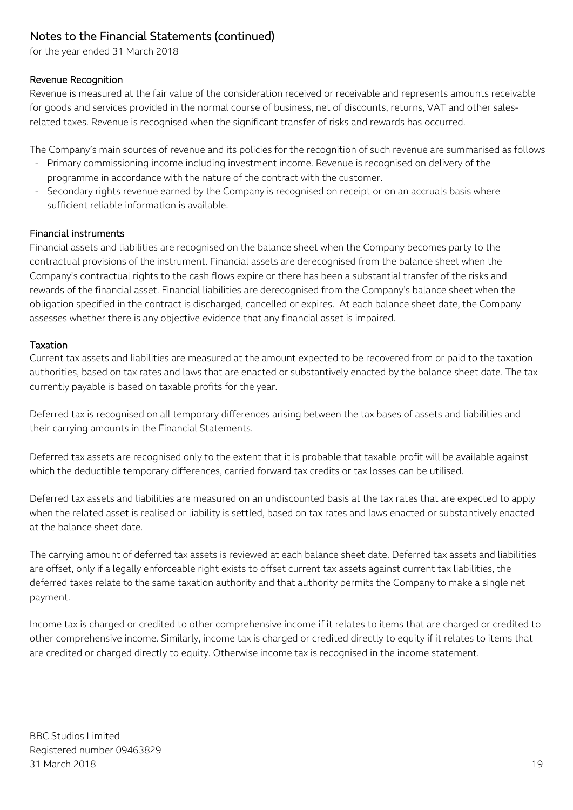for the year ended 31 March 2018

#### Revenue Recognition

Revenue is measured at the fair value of the consideration received or receivable and represents amounts receivable for goods and services provided in the normal course of business, net of discounts, returns, VAT and other salesrelated taxes. Revenue is recognised when the significant transfer of risks and rewards has occurred.

The Company's main sources of revenue and its policies for the recognition of such revenue are summarised as follows

- Primary commissioning income including investment income. Revenue is recognised on delivery of the programme in accordance with the nature of the contract with the customer.
- Secondary rights revenue earned by the Company is recognised on receipt or on an accruals basis where sufficient reliable information is available.

#### Financial instruments

Financial assets and liabilities are recognised on the balance sheet when the Company becomes party to the contractual provisions of the instrument. Financial assets are derecognised from the balance sheet when the Company's contractual rights to the cash flows expire or there has been a substantial transfer of the risks and rewards of the financial asset. Financial liabilities are derecognised from the Company's balance sheet when the obligation specified in the contract is discharged, cancelled or expires. At each balance sheet date, the Company assesses whether there is any objective evidence that any financial asset is impaired.

#### Taxation

Current tax assets and liabilities are measured at the amount expected to be recovered from or paid to the taxation authorities, based on tax rates and laws that are enacted or substantively enacted by the balance sheet date. The tax currently payable is based on taxable profits for the year.

Deferred tax is recognised on all temporary differences arising between the tax bases of assets and liabilities and their carrying amounts in the Financial Statements.

Deferred tax assets are recognised only to the extent that it is probable that taxable profit will be available against which the deductible temporary differences, carried forward tax credits or tax losses can be utilised.

Deferred tax assets and liabilities are measured on an undiscounted basis at the tax rates that are expected to apply when the related asset is realised or liability is settled, based on tax rates and laws enacted or substantively enacted at the balance sheet date.

The carrying amount of deferred tax assets is reviewed at each balance sheet date. Deferred tax assets and liabilities are offset, only if a legally enforceable right exists to offset current tax assets against current tax liabilities, the deferred taxes relate to the same taxation authority and that authority permits the Company to make a single net payment.

Income tax is charged or credited to other comprehensive income if it relates to items that are charged or credited to other comprehensive income. Similarly, income tax is charged or credited directly to equity if it relates to items that are credited or charged directly to equity. Otherwise income tax is recognised in the income statement.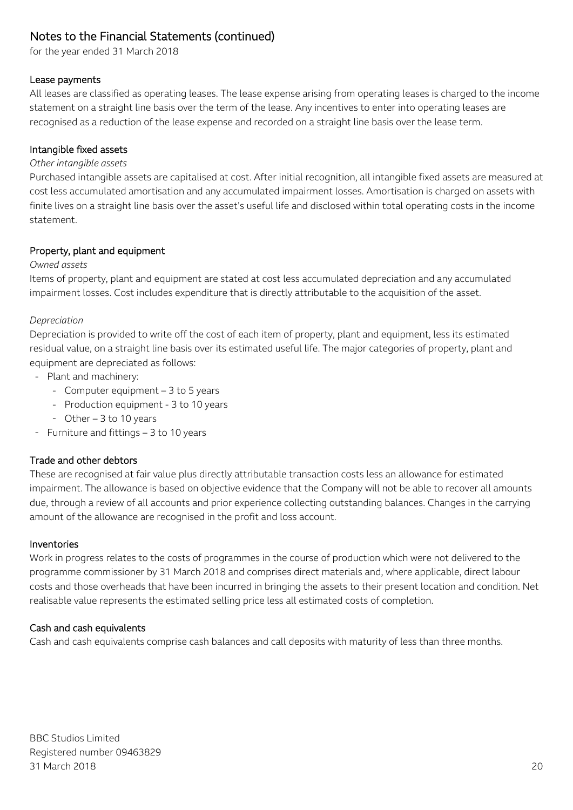for the year ended 31 March 2018

#### Lease payments

All leases are classified as operating leases. The lease expense arising from operating leases is charged to the income statement on a straight line basis over the term of the lease. Any incentives to enter into operating leases are recognised as a reduction of the lease expense and recorded on a straight line basis over the lease term.

#### Intangible fixed assets

#### *Other intangible assets*

Purchased intangible assets are capitalised at cost. After initial recognition, all intangible fixed assets are measured at cost less accumulated amortisation and any accumulated impairment losses. Amortisation is charged on assets with finite lives on a straight line basis over the asset's useful life and disclosed within total operating costs in the income statement.

#### Property, plant and equipment

#### *Owned assets*

Items of property, plant and equipment are stated at cost less accumulated depreciation and any accumulated impairment losses. Cost includes expenditure that is directly attributable to the acquisition of the asset.

#### *Depreciation*

Depreciation is provided to write off the cost of each item of property, plant and equipment, less its estimated residual value, on a straight line basis over its estimated useful life. The major categories of property, plant and equipment are depreciated as follows:

- Plant and machinery:
	- Computer equipment 3 to 5 years
	- Production equipment 3 to 10 years
	- Other 3 to 10 years
- Furniture and fittings 3 to 10 years

#### Trade and other debtors

These are recognised at fair value plus directly attributable transaction costs less an allowance for estimated impairment. The allowance is based on objective evidence that the Company will not be able to recover all amounts due, through a review of all accounts and prior experience collecting outstanding balances. Changes in the carrying amount of the allowance are recognised in the profit and loss account.

#### Inventories

Work in progress relates to the costs of programmes in the course of production which were not delivered to the programme commissioner by 31 March 2018 and comprises direct materials and, where applicable, direct labour costs and those overheads that have been incurred in bringing the assets to their present location and condition. Net realisable value represents the estimated selling price less all estimated costs of completion.

#### Cash and cash equivalents

Cash and cash equivalents comprise cash balances and call deposits with maturity of less than three months.

Registered number 09463829 31 March 2018 20 BBC Studios Limited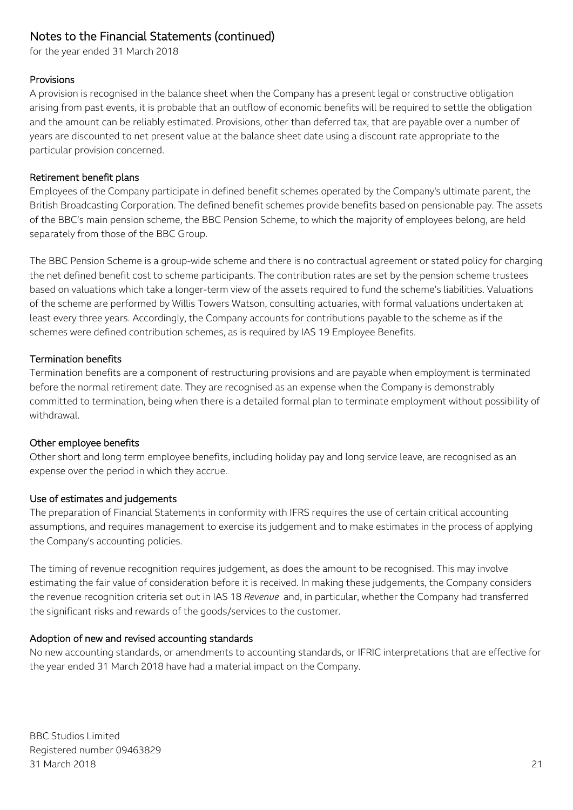for the year ended 31 March 2018

#### Provisions

A provision is recognised in the balance sheet when the Company has a present legal or constructive obligation arising from past events, it is probable that an outflow of economic benefits will be required to settle the obligation and the amount can be reliably estimated. Provisions, other than deferred tax, that are payable over a number of years are discounted to net present value at the balance sheet date using a discount rate appropriate to the particular provision concerned.

#### Retirement benefit plans

Employees of the Company participate in defined benefit schemes operated by the Company's ultimate parent, the British Broadcasting Corporation. The defined benefit schemes provide benefits based on pensionable pay. The assets of the BBC's main pension scheme, the BBC Pension Scheme, to which the majority of employees belong, are held separately from those of the BBC Group.

The BBC Pension Scheme is a group-wide scheme and there is no contractual agreement or stated policy for charging the net defined benefit cost to scheme participants. The contribution rates are set by the pension scheme trustees based on valuations which take a longer-term view of the assets required to fund the scheme's liabilities. Valuations of the scheme are performed by Willis Towers Watson, consulting actuaries, with formal valuations undertaken at least every three years. Accordingly, the Company accounts for contributions payable to the scheme as if the schemes were defined contribution schemes, as is required by IAS 19 Employee Benefits.

#### Termination benefits

Termination benefits are a component of restructuring provisions and are payable when employment is terminated before the normal retirement date. They are recognised as an expense when the Company is demonstrably committed to termination, being when there is a detailed formal plan to terminate employment without possibility of withdrawal.

#### Other employee benefits

Other short and long term employee benefits, including holiday pay and long service leave, are recognised as an expense over the period in which they accrue.

#### Use of estimates and judgements

The preparation of Financial Statements in conformity with IFRS requires the use of certain critical accounting assumptions, and requires management to exercise its judgement and to make estimates in the process of applying the Company's accounting policies.

The timing of revenue recognition requires judgement, as does the amount to be recognised. This may involve estimating the fair value of consideration before it is received. In making these judgements, the Company considers the revenue recognition criteria set out in IAS 18 *Revenue* and, in particular, whether the Company had transferred the significant risks and rewards of the goods/services to the customer.

#### Adoption of new and revised accounting standards

No new accounting standards, or amendments to accounting standards, or IFRIC interpretations that are effective for the year ended 31 March 2018 have had a material impact on the Company.

Registered number 09463829 31 March 2018 BBC Studios Limited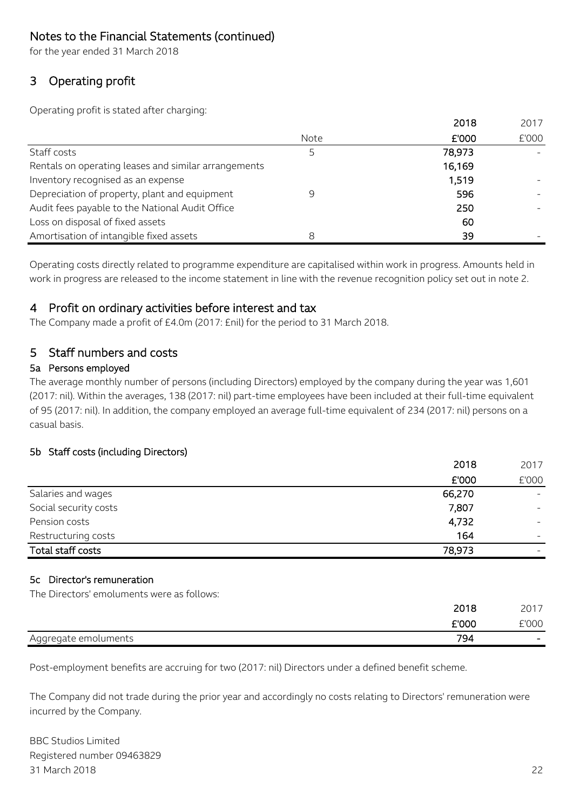for the year ended 31 March 2018

### 3 Operating profit

Operating profit is stated after charging:

|                                                      |      | 2018   | 2017  |
|------------------------------------------------------|------|--------|-------|
|                                                      | Note | £'000  | £'000 |
| Staff costs                                          |      | 78,973 |       |
| Rentals on operating leases and similar arrangements |      | 16,169 |       |
| Inventory recognised as an expense                   |      | 1,519  |       |
| Depreciation of property, plant and equipment        |      | 596    |       |
| Audit fees payable to the National Audit Office      |      | 250    |       |
| Loss on disposal of fixed assets                     |      | 60     |       |
| Amortisation of intangible fixed assets              | 8    | 39     |       |

Operating costs directly related to programme expenditure are capitalised within work in progress. Amounts held in work in progress are released to the income statement in line with the revenue recognition policy set out in note 2.

### 4 Profit on ordinary activities before interest and tax

The Company made a profit of £4.0m (2017: £nil) for the period to 31 March 2018.

### 5 Staff numbers and costs

#### 5a Persons employed

The average monthly number of persons (including Directors) employed by the company during the year was 1,601 (2017: nil). Within the averages, 138 (2017: nil) part-time employees have been included at their full-time equivalent of 95 (2017: nil). In addition, the company employed an average full-time equivalent of 234 (2017: nil) persons on a casual basis.

#### 5b Staff costs (including Directors)

|                       | 2018   | 2017  |
|-----------------------|--------|-------|
|                       | £'000  | £'000 |
| Salaries and wages    | 66,270 |       |
| Social security costs | 7,807  |       |
| Pension costs         | 4,732  |       |
| Restructuring costs   | 164    |       |
| Total staff costs     | 78,973 |       |

#### 5c Director's remuneration

The Directors' emoluments were as follows:

|                      | 2018  | 2017<br>∠∪ |
|----------------------|-------|------------|
|                      | £'000 | £'000      |
| Aggregate emoluments | 794   | $\sim$     |

Post-employment benefits are accruing for two (2017: nil) Directors under a defined benefit scheme.

The Company did not trade during the prior year and accordingly no costs relating to Directors' remuneration were incurred by the Company.

Registered number 09463829 31 March 2018 BBC Studios Limited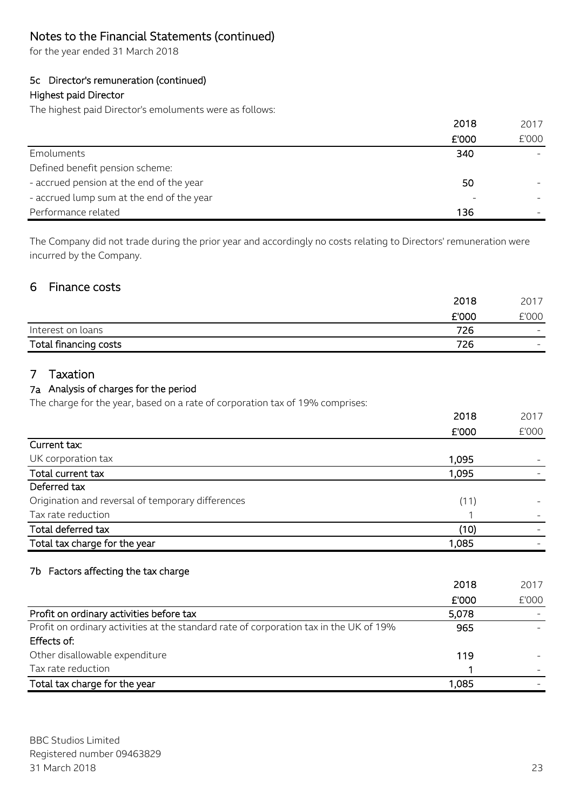for the year ended 31 March 2018

### 5c Director's remuneration (continued) Highest paid Director

The highest paid Director's emoluments were as follows:

|                                           | 2018                         | 2017  |
|-------------------------------------------|------------------------------|-------|
|                                           | £'000                        | £'000 |
| Emoluments                                | 340                          |       |
| Defined benefit pension scheme:           |                              |       |
| - accrued pension at the end of the year  | 50                           |       |
| - accrued lump sum at the end of the year | $\qquad \qquad \blacksquare$ |       |
| Performance related                       | 136                          |       |

The Company did not trade during the prior year and accordingly no costs relating to Directors' remuneration were incurred by the Company.

### 6 Finance costs

|                       | 2018  | 2017                     |
|-----------------------|-------|--------------------------|
|                       | £'000 | £'000                    |
| Interest on loans     | 726   | $\overline{\phantom{0}}$ |
| Total financing costs | 726   |                          |

### 7 Taxation

#### 7a Analysis of charges for the period

The charge for the year, based on a rate of corporation tax of 19% comprises:

|                                                                                        | 2018  | 2017  |
|----------------------------------------------------------------------------------------|-------|-------|
|                                                                                        | £'000 | £'000 |
| Current tax:                                                                           |       |       |
| UK corporation tax                                                                     | 1,095 |       |
| Total current tax                                                                      | 1,095 |       |
| Deferred tax                                                                           |       |       |
| Origination and reversal of temporary differences                                      | (11)  |       |
| Tax rate reduction                                                                     |       |       |
| Total deferred tax                                                                     | (10)  |       |
| Total tax charge for the year                                                          | 1,085 |       |
| Factors affecting the tax charge<br>7b.                                                |       |       |
|                                                                                        | 2018  | 2017  |
|                                                                                        | £'000 | £'000 |
| Profit on ordinary activities before tax                                               | 5,078 |       |
| Profit on ordinary activities at the standard rate of corporation tax in the UK of 19% | 965   |       |
| Effects of:                                                                            |       |       |
| Other disallowable expenditure                                                         | 119   |       |

Tax rate reduction 1 -

### Total tax charge for the year 1,085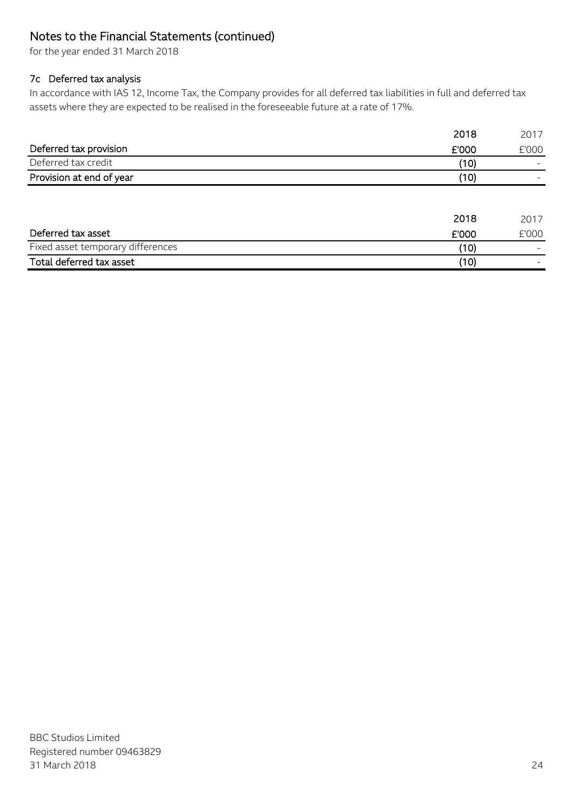for the year ended 31 March 2018

#### 7c Deferred tax analysis

In accordance with IAS 12, Income Tax, the Company provides for all deferred tax liabilities in full and deferred tax assets where they are expected to be realised in the foreseeable future at a rate of 17%.

|                                   | 2018  | 2017  |
|-----------------------------------|-------|-------|
| Deferred tax provision            | £'000 | £'000 |
| Deferred tax credit               | (10)  |       |
| Provision at end of year          | (10)  |       |
|                                   | 2018  | 2017  |
| Deferred tax asset                | £'000 | £'000 |
| Fixed asset temporary differences | (10)  |       |
|                                   |       |       |
| Total deferred tax asset          | (10)  |       |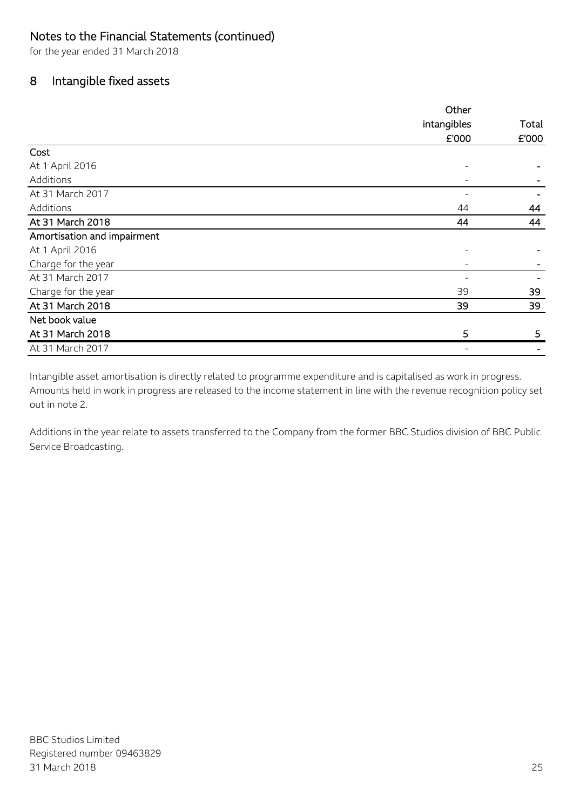for the year ended 31 March 2018

#### 8 Intangible fixed assets

|                             | Other       |       |
|-----------------------------|-------------|-------|
|                             | intangibles | Total |
|                             | £'000       | £'000 |
| Cost                        |             |       |
| At 1 April 2016             |             |       |
| Additions                   |             |       |
| At 31 March 2017            |             |       |
| Additions                   | 44          | 44    |
| At 31 March 2018            | 44          | 44    |
| Amortisation and impairment |             |       |
| At 1 April 2016             |             |       |
| Charge for the year         |             |       |
| At 31 March 2017            |             |       |
| Charge for the year         | 39          | 39    |
| At 31 March 2018            | 39          | 39    |
| Net book value              |             |       |
| At 31 March 2018            | 5           | 5     |
| At 31 March 2017            |             |       |

Intangible asset amortisation is directly related to programme expenditure and is capitalised as work in progress. Amounts held in work in progress are released to the income statement in line with the revenue recognition policy set out in note 2.

Additions in the year relate to assets transferred to the Company from the former BBC Studios division of BBC Public Service Broadcasting.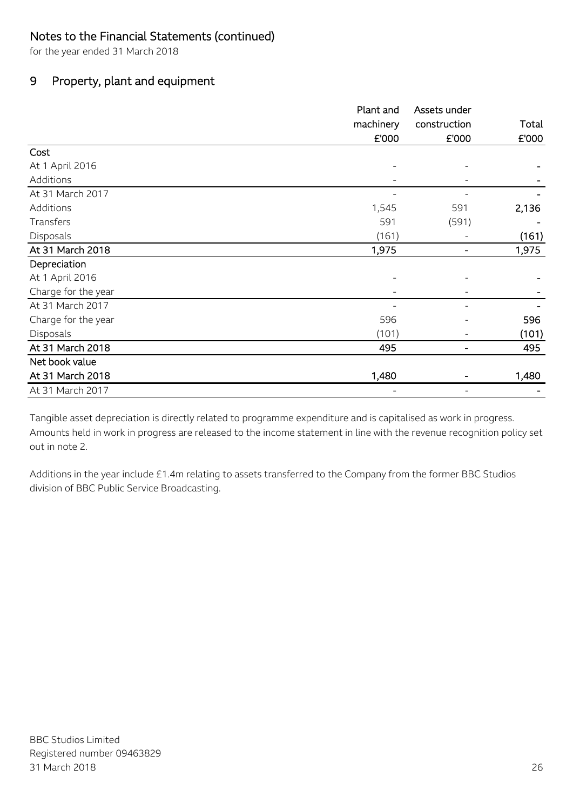for the year ended 31 March 2018

#### 9 Property, plant and equipment

| Plant and<br>machinery | Assets under |       |
|------------------------|--------------|-------|
|                        | construction | Total |
| £'000                  | £'000        | £'000 |
|                        |              |       |
|                        |              |       |
|                        |              |       |
|                        |              |       |
| 1,545                  | 591          | 2,136 |
| 591                    | (591)        |       |
| (161)                  |              | (161) |
| 1,975                  |              | 1,975 |
|                        |              |       |
|                        |              |       |
|                        |              |       |
|                        |              |       |
| 596                    |              | 596   |
| (101)                  |              | (101) |
| 495                    | -            | 495   |
|                        |              |       |
| 1,480                  |              | 1,480 |
|                        |              |       |
|                        |              |       |

Tangible asset depreciation is directly related to programme expenditure and is capitalised as work in progress. Amounts held in work in progress are released to the income statement in line with the revenue recognition policy set out in note 2.

Additions in the year include £1.4m relating to assets transferred to the Company from the former BBC Studios division of BBC Public Service Broadcasting.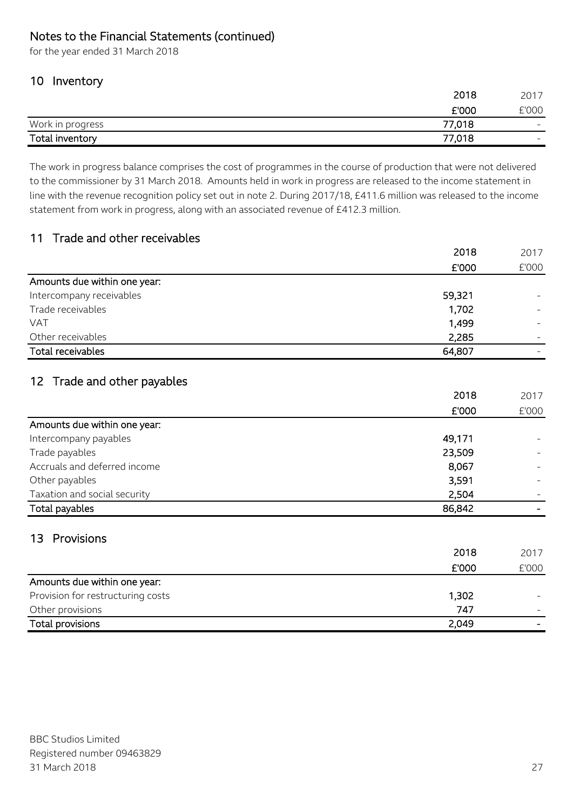for the year ended 31 March 2018

### 10 Inventory

|                  | 2018   | 2017                     |
|------------------|--------|--------------------------|
|                  | £'000  | £'000                    |
| Work in progress | 77,018 | $\overline{\phantom{0}}$ |
| Total inventory  | 77,018 | $\sim$                   |

The work in progress balance comprises the cost of programmes in the course of production that were not delivered to the commissioner by 31 March 2018. Amounts held in work in progress are released to the income statement in line with the revenue recognition policy set out in note 2. During 2017/18, £411.6 million was released to the income statement from work in progress, along with an associated revenue of £412.3 million.

### 11 Trade and other receivables

|                                   | 2018   | 2017  |
|-----------------------------------|--------|-------|
|                                   | £'000  | £'000 |
| Amounts due within one year:      |        |       |
| Intercompany receivables          | 59,321 |       |
| Trade receivables                 | 1,702  |       |
| <b>VAT</b>                        | 1,499  |       |
| Other receivables                 | 2,285  |       |
| <b>Total receivables</b>          | 64,807 |       |
| Trade and other payables<br>12    |        |       |
|                                   | 2018   | 2017  |
|                                   | £'000  | £'000 |
| Amounts due within one year:      |        |       |
| Intercompany payables             | 49,171 |       |
| Trade payables                    | 23,509 |       |
| Accruals and deferred income      | 8,067  |       |
| Other payables                    | 3,591  |       |
| Taxation and social security      | 2,504  |       |
| Total payables                    | 86,842 |       |
| Provisions<br>13                  |        |       |
|                                   | 2018   | 2017  |
|                                   | £'000  | £'000 |
| Amounts due within one year:      |        |       |
| Provision for restructuring costs | 1,302  |       |
| Other provisions                  | 747    |       |
| <b>Total provisions</b>           | 2,049  |       |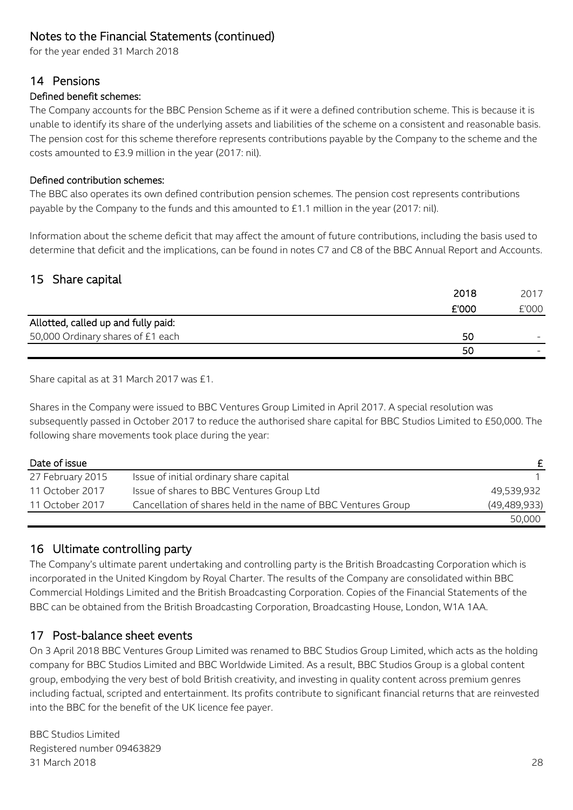for the year ended 31 March 2018

### 14 Pensions

#### Defined benefit schemes:

The Company accounts for the BBC Pension Scheme as if it were a defined contribution scheme. This is because it is unable to identify its share of the underlying assets and liabilities of the scheme on a consistent and reasonable basis. The pension cost for this scheme therefore represents contributions payable by the Company to the scheme and the costs amounted to £3.9 million in the year (2017: nil).

#### Defined contribution schemes:

The BBC also operates its own defined contribution pension schemes. The pension cost represents contributions payable by the Company to the funds and this amounted to £1.1 million in the year (2017: nil).

Information about the scheme deficit that may affect the amount of future contributions, including the basis used to determine that deficit and the implications, can be found in notes C7 and C8 of the BBC Annual Report and Accounts.

### 15 Share capital

|                                     | 2018  | 2017  |
|-------------------------------------|-------|-------|
|                                     | £'000 | £'000 |
| Allotted, called up and fully paid: |       |       |
| 50,000 Ordinary shares of £1 each   | 50    |       |
|                                     | 50    |       |

Share capital as at 31 March 2017 was £1.

Shares in the Company were issued to BBC Ventures Group Limited in April 2017. A special resolution was subsequently passed in October 2017 to reduce the authorised share capital for BBC Studios Limited to £50,000. The following share movements took place during the year:

#### Date of issue

| 27 February 2015 | Issue of initial ordinary share capital                       |                |
|------------------|---------------------------------------------------------------|----------------|
| 11 October 2017  | Issue of shares to BBC Ventures Group Ltd                     | 49,539,932     |
| 11 October 2017  | Cancellation of shares held in the name of BBC Ventures Group | (49, 489, 933) |
|                  |                                                               | 50,000         |

### 16 Ultimate controlling party

The Company's ultimate parent undertaking and controlling party is the British Broadcasting Corporation which is incorporated in the United Kingdom by Royal Charter. The results of the Company are consolidated within BBC Commercial Holdings Limited and the British Broadcasting Corporation. Copies of the Financial Statements of the BBC can be obtained from the British Broadcasting Corporation, Broadcasting House, London, W1A 1AA.

### 17 Post-balance sheet events

On 3 April 2018 BBC Ventures Group Limited was renamed to BBC Studios Group Limited, which acts as the holding company for BBC Studios Limited and BBC Worldwide Limited. As a result, BBC Studios Group is a global content group, embodying the very best of bold British creativity, and investing in quality content across premium genres including factual, scripted and entertainment. Its profits contribute to significant financial returns that are reinvested into the BBC for the benefit of the UK licence fee payer.

Registered number 09463829 BBC Studios Limited 31 March 2018

£